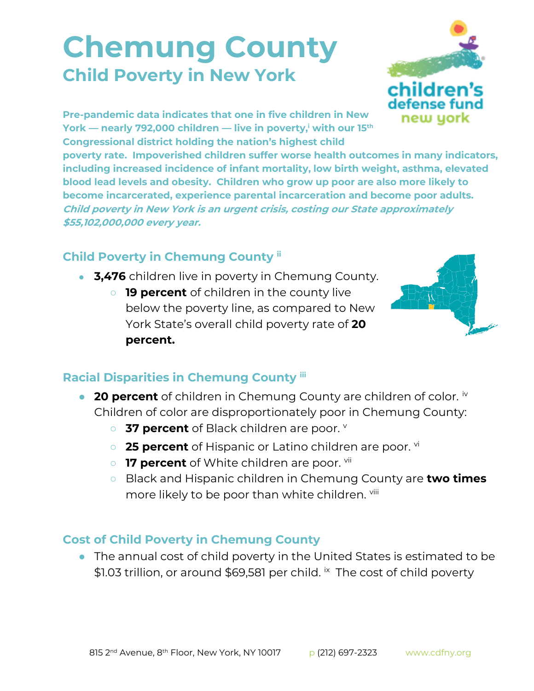## **Chemung County Child Poverty in New York**



**Pre-pandemic data indicates that one in five children in New York — nearly 792,000 children — live in poverty,<sup>i</sup> with our 15th Congressional district holding the nation's highest child** 

**poverty rate. Impoverished children suffer worse health outcomes in many indicators, including increased incidence of infant mortality, low birth weight, asthma, elevated blood lead levels and obesity. Children who grow up poor are also more likely to become incarcerated, experience parental incarceration and become poor adults. Child poverty in New York is an urgent crisis, costing our State approximately \$55,102,000,000 every year.**

## **Child Poverty in Chemung County ii**

- **3,476** children live in poverty in Chemung County.
	- **19 percent** of children in the county live below the poverty line, as compared to New York State's overall child poverty rate of **20 percent.**



## **Racial Disparities in Chemung County iii**

- **20 percent** of children in Chemung County are children of color. <sup>iv</sup> Children of color are disproportionately poor in Chemung County:
	- **37 percent** of Black children are poor. **V**
	- **25 percent** of Hispanic or Latino children are poor. <sup>vi</sup>
	- **17 percent** of White children are poor. <sup>vii</sup>
	- Black and Hispanic children in Chemung County are **two times**  more likely to be poor than white children. Vill

## **Cost of Child Poverty in Chemung County**

● The annual cost of child poverty in the United States is estimated to be \$1.03 trillion, or around \$69,581 per child. <sup>ix</sup> The cost of child poverty